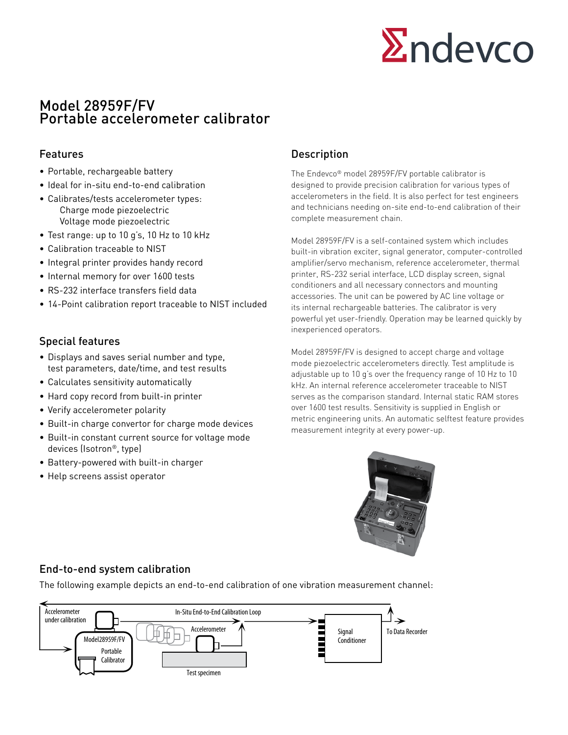

# Model 28959F/FV Portable accelerometer calibrator

- Portable, rechargeable battery
- Ideal for in-situ end-to-end calibration
- Calibrates/tests accelerometer types: Charge mode piezoelectric Voltage mode piezoelectric
- Test range: up to 10 g's, 10 Hz to 10 kHz
- Calibration traceable to NIST
- Integral printer provides handy record
- Internal memory for over 1600 tests
- RS-232 interface transfers field data
- 14-Point calibration report traceable to NIST included

## Special features

- Displays and saves serial number and type, test parameters, date/time, and test results
- Calculates sensitivity automatically
- Hard copy record from built-in printer
- Verify accelerometer polarity
- Built-in charge convertor for charge mode devices
- Built-in constant current source for voltage mode devices (Isotron®, type)
- Battery-powered with built-in charger
- Help screens assist operator

## Features **Description**

The Endevco® model 28959F/FV portable calibrator is designed to provide precision calibration for various types of accelerometers in the field. It is also perfect for test engineers and technicians needing on-site end-to-end calibration of their complete measurement chain.

Model 28959F/FV is a self-contained system which includes built-in vibration exciter, signal generator, computer-controlled amplifier/servo mechanism, reference accelerometer, thermal printer, RS-232 serial interface, LCD display screen, signal conditioners and all necessary connectors and mounting accessories. The unit can be powered by AC line voltage or its internal rechargeable batteries. The calibrator is very powerful yet user-friendly. Operation may be learned quickly by inexperienced operators.

Model 28959F/FV is designed to accept charge and voltage mode piezoelectric accelerometers directly. Test amplitude is adjustable up to 10 g's over the frequency range of 10 Hz to 10 kHz. An internal reference accelerometer traceable to NIST serves as the comparison standard. Internal static RAM stores over 1600 test results. Sensitivity is supplied in English or metric engineering units. An automatic selftest feature provides measurement integrity at every power-up.



## End-to-end system calibration

The following example depicts an end-to-end calibration of one vibration measurement channel: